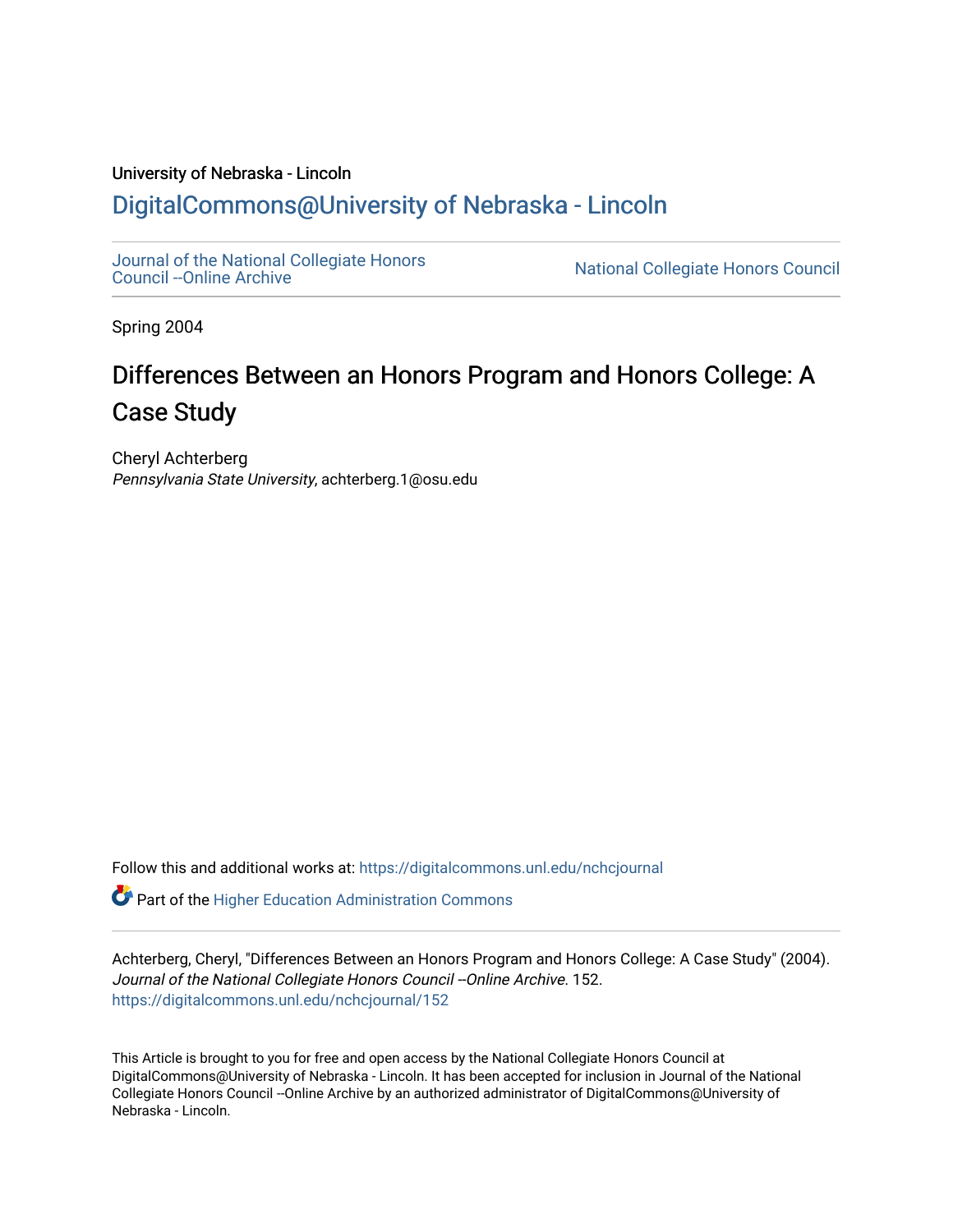## University of Nebraska - Lincoln [DigitalCommons@University of Nebraska - Lincoln](https://digitalcommons.unl.edu/)

[Journal of the National Collegiate Honors](https://digitalcommons.unl.edu/nchcjournal) 

National Collegiate Honors Council

Spring 2004

## Differences Between an Honors Program and Honors College: A Case Study

Cheryl Achterberg Pennsylvania State University, achterberg.1@osu.edu

Follow this and additional works at: [https://digitalcommons.unl.edu/nchcjournal](https://digitalcommons.unl.edu/nchcjournal?utm_source=digitalcommons.unl.edu%2Fnchcjournal%2F152&utm_medium=PDF&utm_campaign=PDFCoverPages) 

 $\bullet$  Part of the Higher Education Administration Commons

Achterberg, Cheryl, "Differences Between an Honors Program and Honors College: A Case Study" (2004). Journal of the National Collegiate Honors Council -- Online Archive. 152. [https://digitalcommons.unl.edu/nchcjournal/152](https://digitalcommons.unl.edu/nchcjournal/152?utm_source=digitalcommons.unl.edu%2Fnchcjournal%2F152&utm_medium=PDF&utm_campaign=PDFCoverPages) 

This Article is brought to you for free and open access by the National Collegiate Honors Council at DigitalCommons@University of Nebraska - Lincoln. It has been accepted for inclusion in Journal of the National Collegiate Honors Council --Online Archive by an authorized administrator of DigitalCommons@University of Nebraska - Lincoln.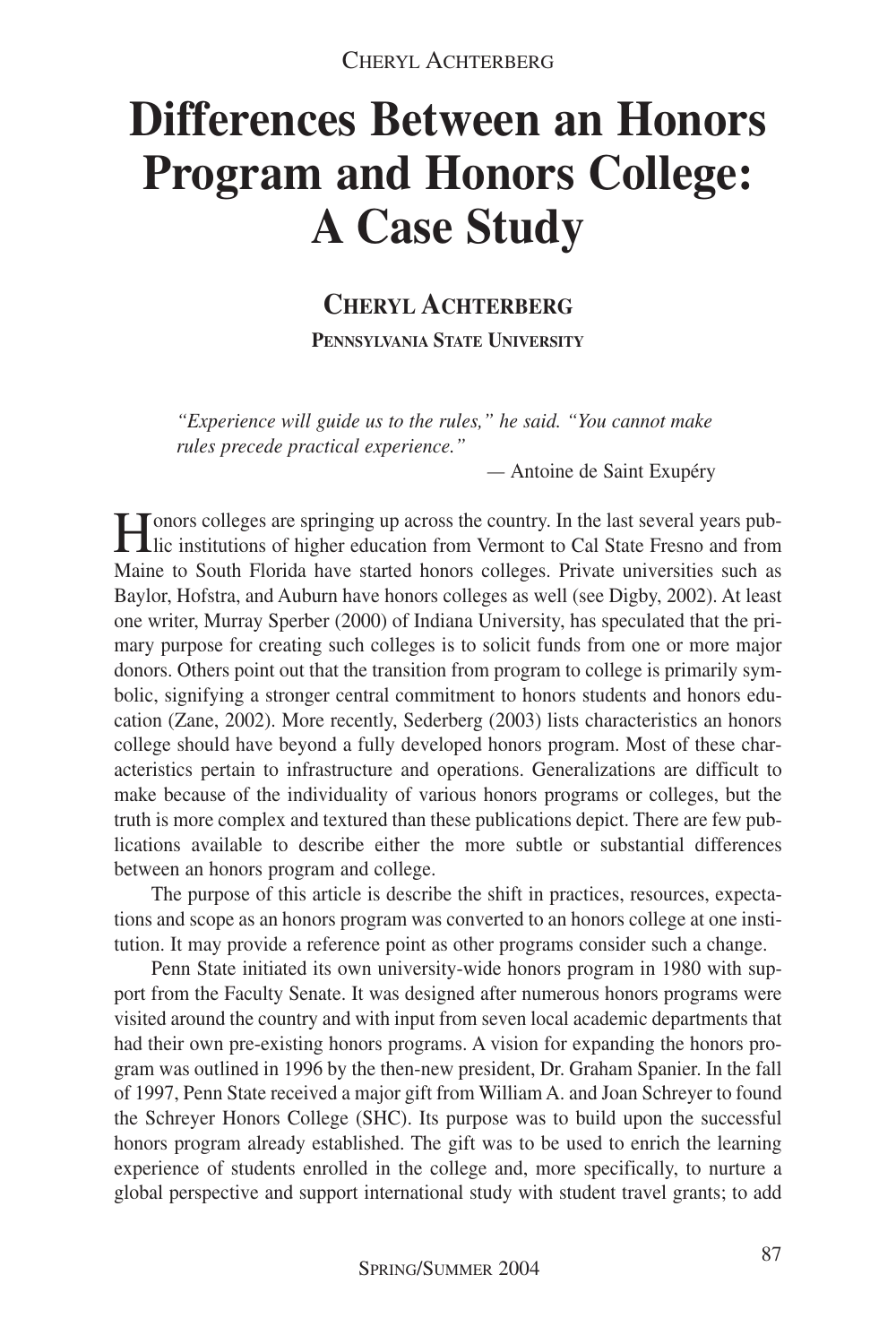# **Differences Between an Honors Program and Honors College: A Case Study**

## **CHERYL ACHTERBERG PENNSYLVANIA STATE UNIVERSITY**

*"Experience will guide us to the rules," he said. "You cannot make rules precede practical experience."*

*—* Antoine de Saint Exupéry

Honors colleges are springing up across the country. In the last several years pub-lic institutions of higher education from Vermont to Cal State Fresno and from Maine to South Florida have started honors colleges. Private universities such as Baylor, Hofstra, and Auburn have honors colleges as well (see Digby, 2002). At least one writer, Murray Sperber (2000) of Indiana University, has speculated that the primary purpose for creating such colleges is to solicit funds from one or more major donors. Others point out that the transition from program to college is primarily symbolic, signifying a stronger central commitment to honors students and honors education (Zane, 2002). More recently, Sederberg (2003) lists characteristics an honors college should have beyond a fully developed honors program. Most of these characteristics pertain to infrastructure and operations. Generalizations are difficult to make because of the individuality of various honors programs or colleges, but the truth is more complex and textured than these publications depict. There are few publications available to describe either the more subtle or substantial differences between an honors program and college.

The purpose of this article is describe the shift in practices, resources, expectations and scope as an honors program was converted to an honors college at one institution. It may provide a reference point as other programs consider such a change.

Penn State initiated its own university-wide honors program in 1980 with support from the Faculty Senate. It was designed after numerous honors programs were visited around the country and with input from seven local academic departments that had their own pre-existing honors programs. A vision for expanding the honors program was outlined in 1996 by the then-new president, Dr. Graham Spanier. In the fall of 1997, Penn State received a major gift from William A. and Joan Schreyer to found the Schreyer Honors College (SHC). Its purpose was to build upon the successful honors program already established. The gift was to be used to enrich the learning experience of students enrolled in the college and, more specifically, to nurture a global perspective and support international study with student travel grants; to add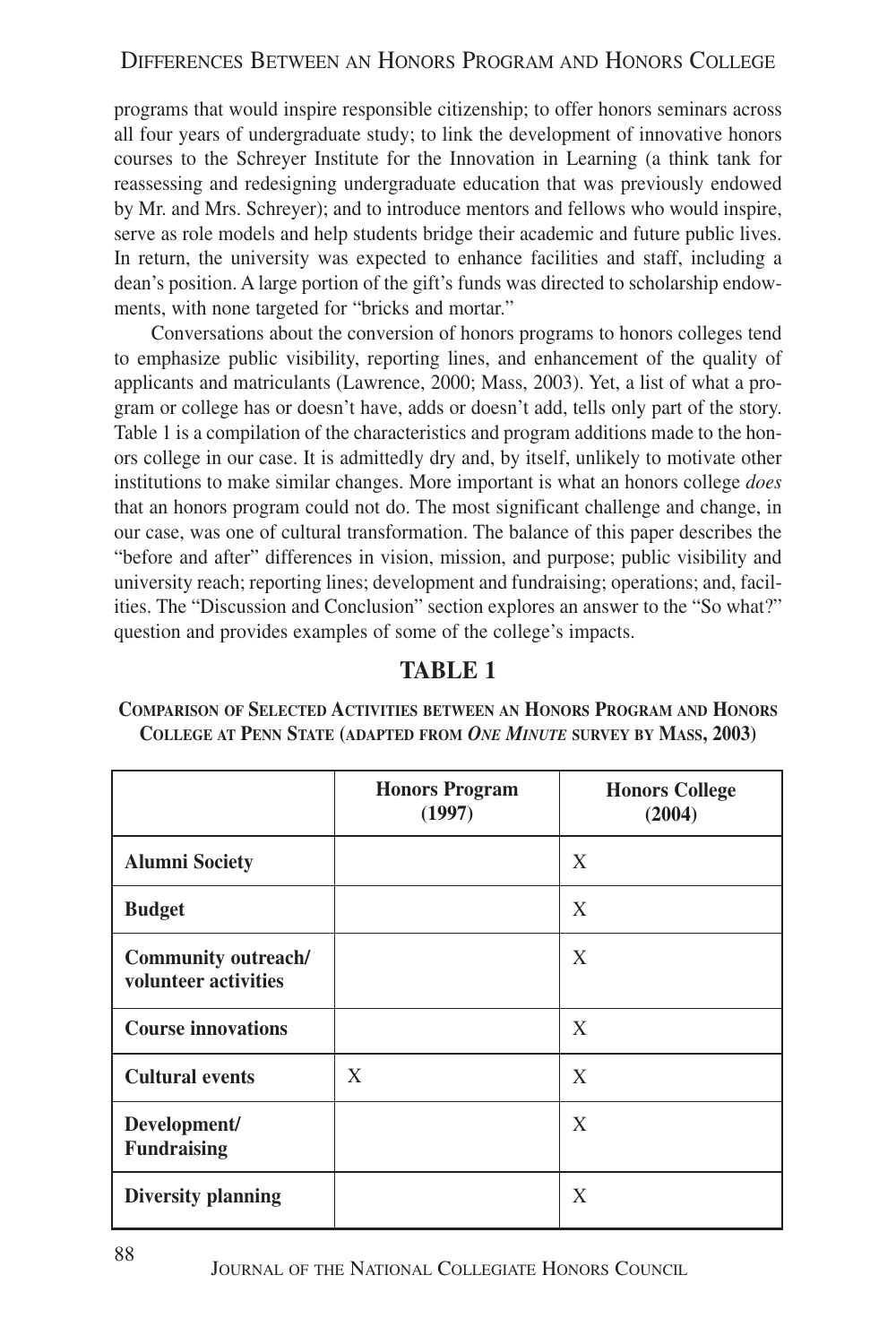programs that would inspire responsible citizenship; to offer honors seminars across all four years of undergraduate study; to link the development of innovative honors courses to the Schreyer Institute for the Innovation in Learning (a think tank for reassessing and redesigning undergraduate education that was previously endowed by Mr. and Mrs. Schreyer); and to introduce mentors and fellows who would inspire, serve as role models and help students bridge their academic and future public lives. In return, the university was expected to enhance facilities and staff, including a dean's position. A large portion of the gift's funds was directed to scholarship endowments, with none targeted for "bricks and mortar."

Conversations about the conversion of honors programs to honors colleges tend to emphasize public visibility, reporting lines, and enhancement of the quality of applicants and matriculants (Lawrence, 2000; Mass, 2003). Yet, a list of what a program or college has or doesn't have, adds or doesn't add, tells only part of the story. Table 1 is a compilation of the characteristics and program additions made to the honors college in our case. It is admittedly dry and, by itself, unlikely to motivate other institutions to make similar changes. More important is what an honors college *does* that an honors program could not do. The most significant challenge and change, in our case, was one of cultural transformation. The balance of this paper describes the "before and after" differences in vision, mission, and purpose; public visibility and university reach; reporting lines; development and fundraising; operations; and, facilities. The "Discussion and Conclusion" section explores an answer to the "So what?" question and provides examples of some of the college's impacts.

#### **TABLE 1**

**COMPARISON OF SELECTED ACTIVITIES BETWEEN AN HONORS PROGRAM AND HONORS COLLEGE AT PENN STATE (ADAPTED FROM** *ONE MINUTE* **SURVEY BY MASS, 2003)**

|                                             | <b>Honors Program</b><br>(1997) | <b>Honors College</b><br>(2004) |
|---------------------------------------------|---------------------------------|---------------------------------|
| <b>Alumni Society</b>                       |                                 | X                               |
| <b>Budget</b>                               |                                 | X                               |
| Community outreach/<br>volunteer activities |                                 | X                               |
| <b>Course innovations</b>                   |                                 | X                               |
| <b>Cultural events</b>                      | X                               | X                               |
| Development/<br><b>Fundraising</b>          |                                 | X                               |
| <b>Diversity planning</b>                   |                                 | X                               |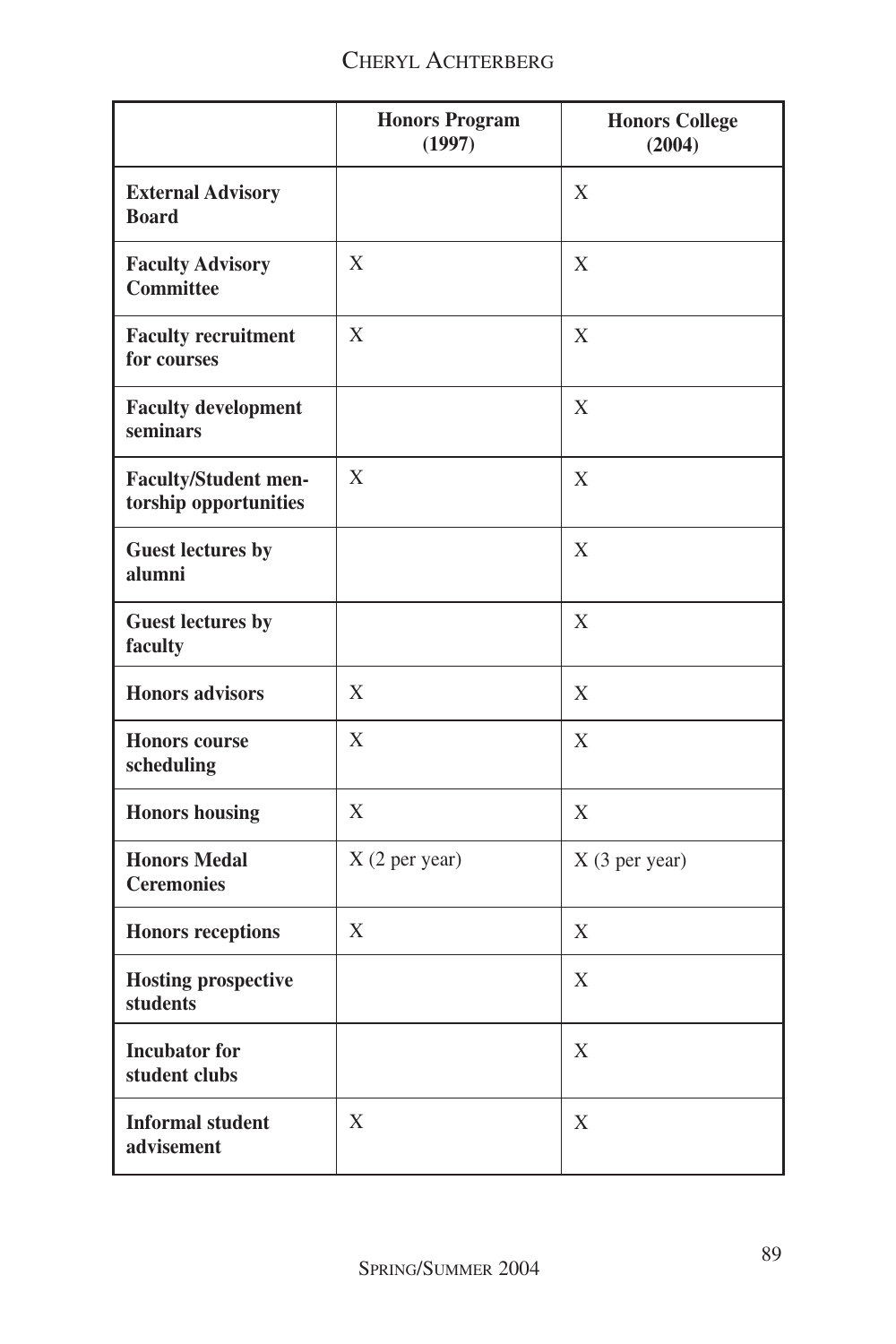### CHERYL ACHTERBERG

|                                                      | <b>Honors Program</b><br>(1997) | <b>Honors College</b><br>(2004) |
|------------------------------------------------------|---------------------------------|---------------------------------|
| <b>External Advisory</b><br><b>Board</b>             |                                 | X                               |
| <b>Faculty Advisory</b><br><b>Committee</b>          | X                               | X                               |
| <b>Faculty recruitment</b><br>for courses            | X                               | X                               |
| <b>Faculty development</b><br>seminars               |                                 | X                               |
| <b>Faculty/Student men-</b><br>torship opportunities | X                               | X                               |
| <b>Guest lectures by</b><br>alumni                   |                                 | Χ                               |
| <b>Guest lectures by</b><br>faculty                  |                                 | X                               |
| <b>Honors</b> advisors                               | X                               | X                               |
| <b>Honors</b> course<br>scheduling                   | X                               | X                               |
| <b>Honors</b> housing                                | $\mathbf X$                     | X                               |
| <b>Honors Medal</b><br><b>Ceremonies</b>             | X (2 per year)                  | X (3 per year)                  |
| <b>Honors receptions</b>                             | X                               | X                               |
| <b>Hosting prospective</b><br>students               |                                 | X                               |
| <b>Incubator</b> for<br>student clubs                |                                 | X                               |
| <b>Informal student</b><br>advisement                | $\mathbf X$                     | X                               |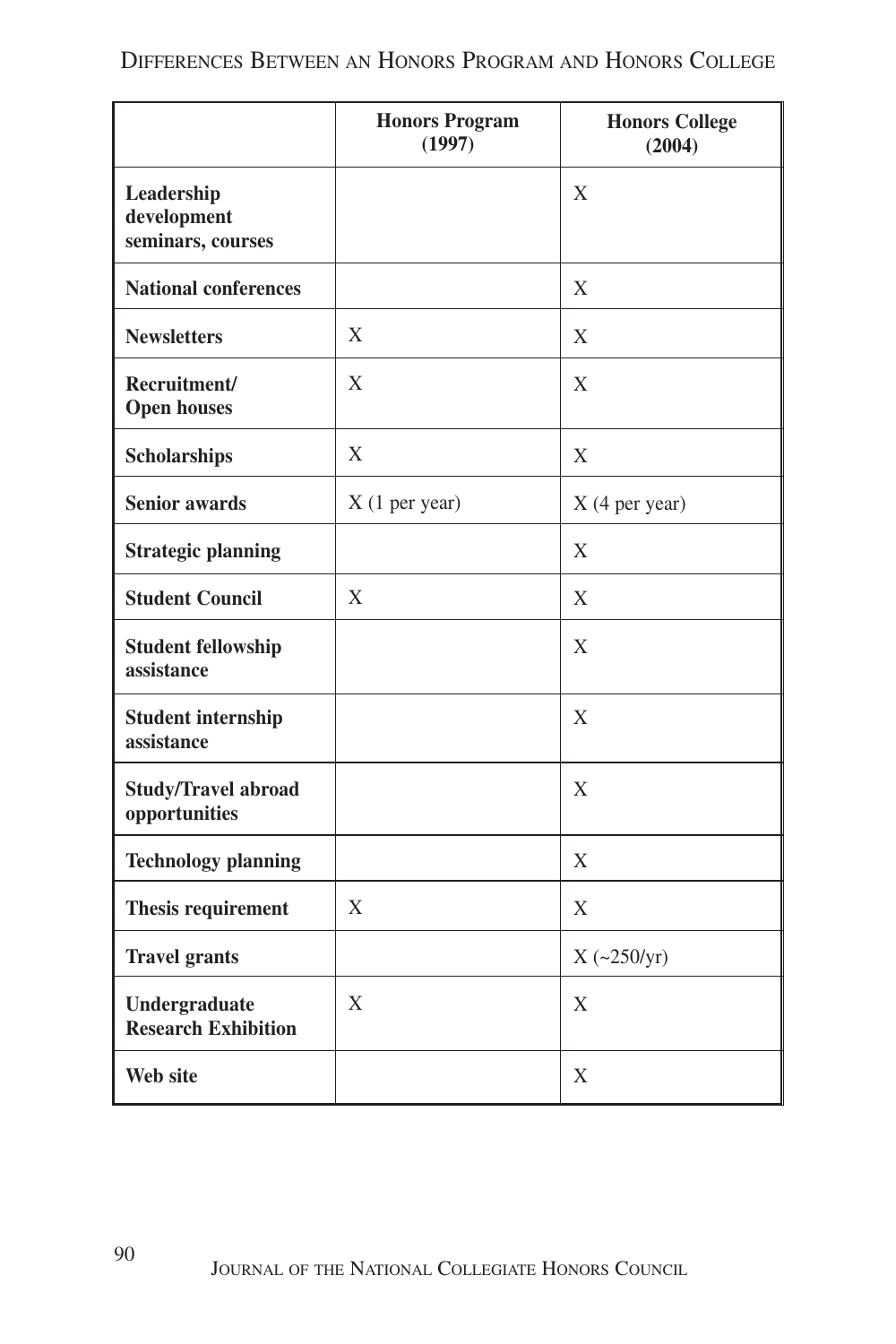|                                                | <b>Honors Program</b><br>(1997) | <b>Honors College</b><br>(2004) |
|------------------------------------------------|---------------------------------|---------------------------------|
| Leadership<br>development<br>seminars, courses |                                 | X                               |
| <b>National conferences</b>                    |                                 | $\mathbf X$                     |
| <b>Newsletters</b>                             | X                               | X                               |
| Recruitment/<br><b>Open houses</b>             | X                               | X                               |
| Scholarships                                   | X                               | X                               |
| <b>Senior awards</b>                           | $X(1$ per year)                 | X (4 per year)                  |
| <b>Strategic planning</b>                      |                                 | X                               |
| <b>Student Council</b>                         | X                               | X                               |
| <b>Student fellowship</b><br>assistance        |                                 | X                               |
| <b>Student internship</b><br>assistance        |                                 | X                               |
| <b>Study/Travel abroad</b><br>opportunities    |                                 | $\mathbf X$                     |
| <b>Technology planning</b>                     |                                 | X                               |
| Thesis requirement                             | X                               | X                               |
| <b>Travel grants</b>                           |                                 | $X (-250/yr)$                   |
| Undergraduate<br><b>Research Exhibition</b>    | X                               | $\mathbf X$                     |
| Web site                                       |                                 | X                               |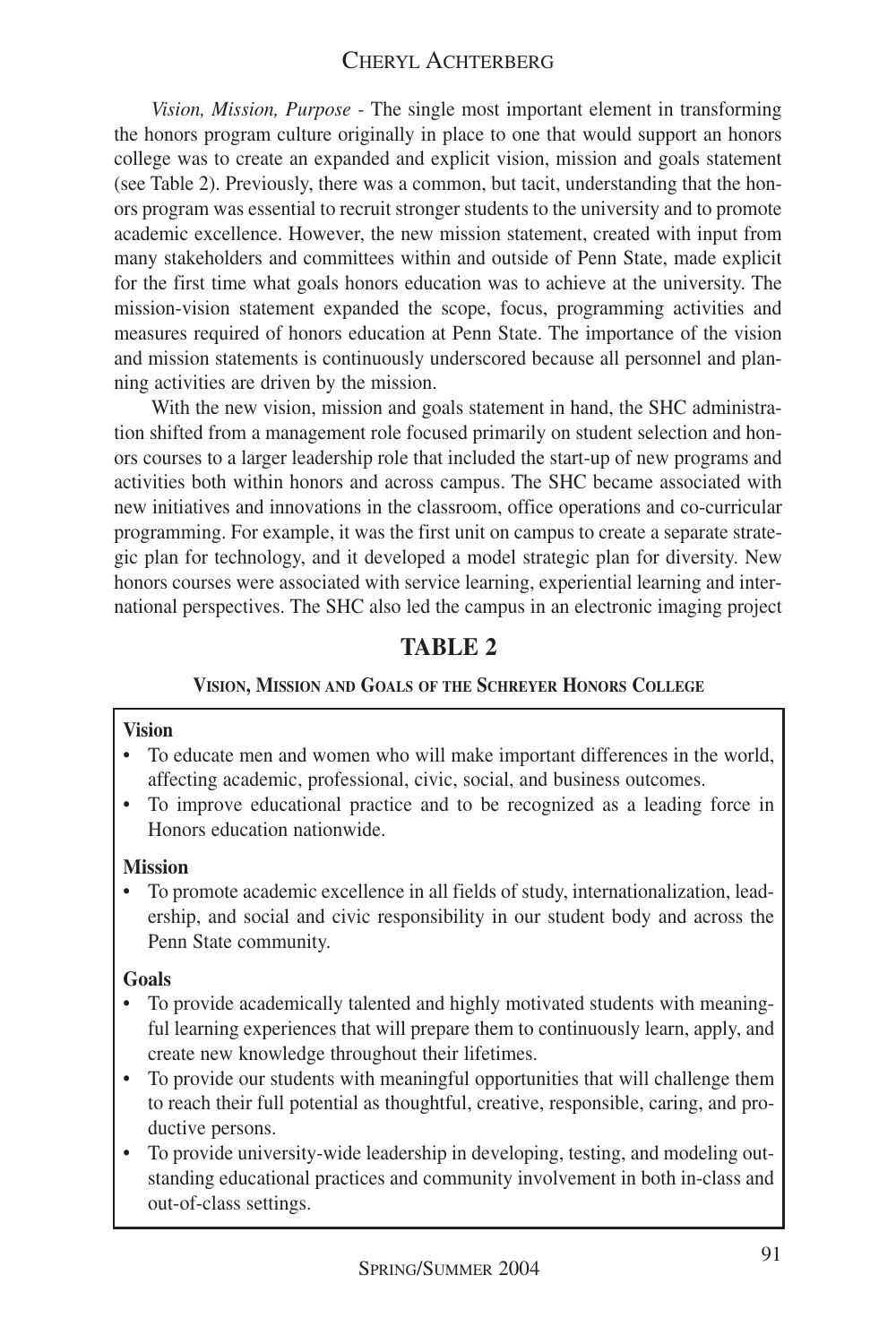#### CHERYL ACHTERBERG

*Vision, Mission, Purpose -* The single most important element in transforming the honors program culture originally in place to one that would support an honors college was to create an expanded and explicit vision, mission and goals statement (see Table 2). Previously, there was a common, but tacit, understanding that the honors program was essential to recruit stronger students to the university and to promote academic excellence. However, the new mission statement, created with input from many stakeholders and committees within and outside of Penn State, made explicit for the first time what goals honors education was to achieve at the university. The mission-vision statement expanded the scope, focus, programming activities and measures required of honors education at Penn State. The importance of the vision and mission statements is continuously underscored because all personnel and planning activities are driven by the mission.

With the new vision, mission and goals statement in hand, the SHC administration shifted from a management role focused primarily on student selection and honors courses to a larger leadership role that included the start-up of new programs and activities both within honors and across campus. The SHC became associated with new initiatives and innovations in the classroom, office operations and co-curricular programming. For example, it was the first unit on campus to create a separate strategic plan for technology, and it developed a model strategic plan for diversity. New honors courses were associated with service learning, experiential learning and international perspectives. The SHC also led the campus in an electronic imaging project

#### **TABLE 2**

#### **VISION, MISSION AND GOALS OF THE SCHREYER HONORS COLLEGE**

#### **Vision**

- To educate men and women who will make important differences in the world, affecting academic, professional, civic, social, and business outcomes.
- To improve educational practice and to be recognized as a leading force in Honors education nationwide.

#### **Mission**

• To promote academic excellence in all fields of study, internationalization, leadership, and social and civic responsibility in our student body and across the Penn State community.

#### **Goals**

- To provide academically talented and highly motivated students with meaningful learning experiences that will prepare them to continuously learn, apply, and create new knowledge throughout their lifetimes.
- To provide our students with meaningful opportunities that will challenge them to reach their full potential as thoughtful, creative, responsible, caring, and productive persons.
- To provide university-wide leadership in developing, testing, and modeling outstanding educational practices and community involvement in both in-class and out-of-class settings.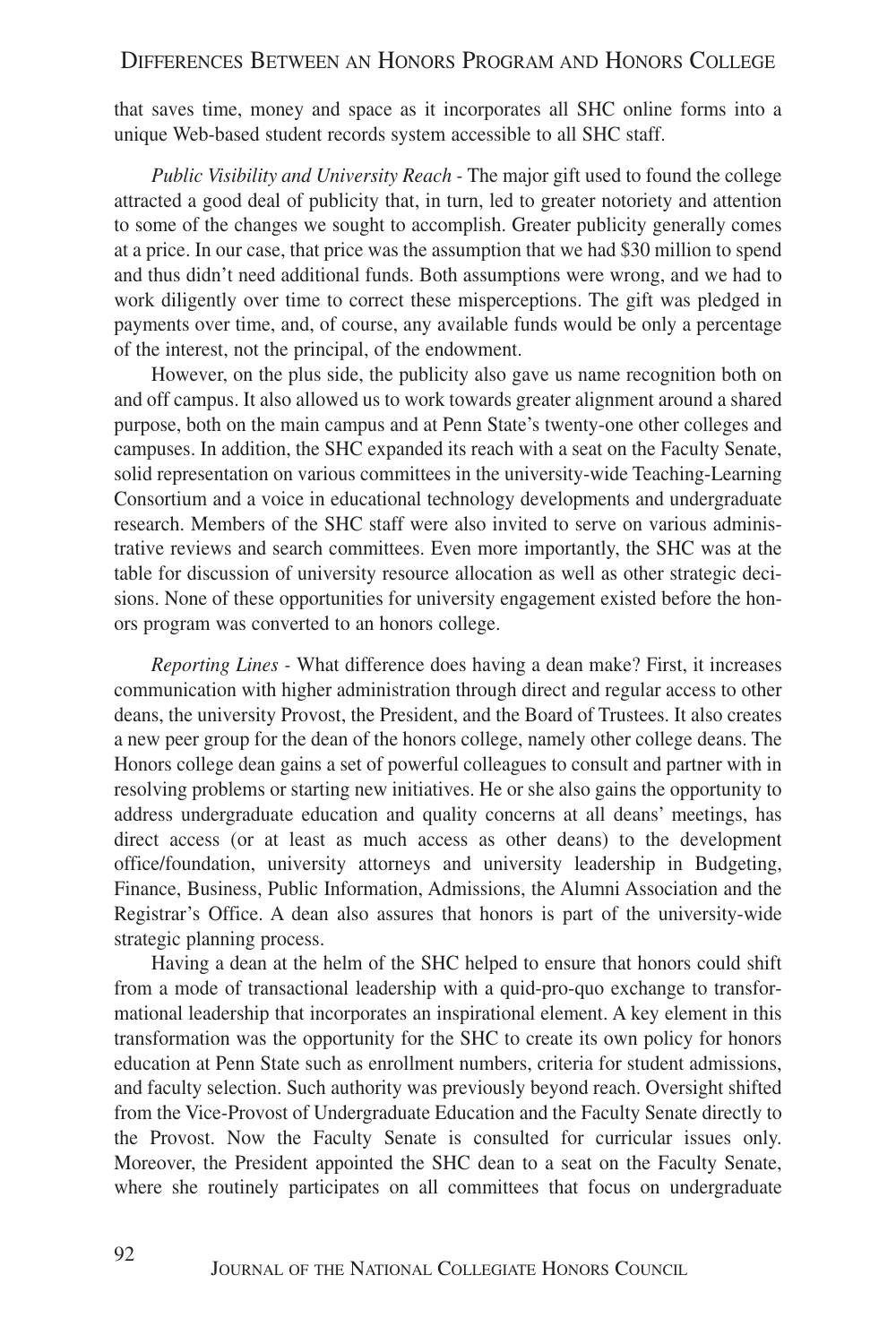that saves time, money and space as it incorporates all SHC online forms into a unique Web-based student records system accessible to all SHC staff.

*Public Visibility and University Reach -* The major gift used to found the college attracted a good deal of publicity that, in turn, led to greater notoriety and attention to some of the changes we sought to accomplish. Greater publicity generally comes at a price. In our case, that price was the assumption that we had \$30 million to spend and thus didn't need additional funds. Both assumptions were wrong, and we had to work diligently over time to correct these misperceptions. The gift was pledged in payments over time, and, of course, any available funds would be only a percentage of the interest, not the principal, of the endowment.

However, on the plus side, the publicity also gave us name recognition both on and off campus. It also allowed us to work towards greater alignment around a shared purpose, both on the main campus and at Penn State's twenty-one other colleges and campuses. In addition, the SHC expanded its reach with a seat on the Faculty Senate, solid representation on various committees in the university-wide Teaching-Learning Consortium and a voice in educational technology developments and undergraduate research. Members of the SHC staff were also invited to serve on various administrative reviews and search committees. Even more importantly, the SHC was at the table for discussion of university resource allocation as well as other strategic decisions. None of these opportunities for university engagement existed before the honors program was converted to an honors college.

*Reporting Lines -* What difference does having a dean make? First, it increases communication with higher administration through direct and regular access to other deans, the university Provost, the President, and the Board of Trustees. It also creates a new peer group for the dean of the honors college, namely other college deans. The Honors college dean gains a set of powerful colleagues to consult and partner with in resolving problems or starting new initiatives. He or she also gains the opportunity to address undergraduate education and quality concerns at all deans' meetings, has direct access (or at least as much access as other deans) to the development office/foundation, university attorneys and university leadership in Budgeting, Finance, Business, Public Information, Admissions, the Alumni Association and the Registrar's Office. A dean also assures that honors is part of the university-wide strategic planning process.

Having a dean at the helm of the SHC helped to ensure that honors could shift from a mode of transactional leadership with a quid-pro-quo exchange to transformational leadership that incorporates an inspirational element. A key element in this transformation was the opportunity for the SHC to create its own policy for honors education at Penn State such as enrollment numbers, criteria for student admissions, and faculty selection. Such authority was previously beyond reach. Oversight shifted from the Vice-Provost of Undergraduate Education and the Faculty Senate directly to the Provost. Now the Faculty Senate is consulted for curricular issues only. Moreover, the President appointed the SHC dean to a seat on the Faculty Senate, where she routinely participates on all committees that focus on undergraduate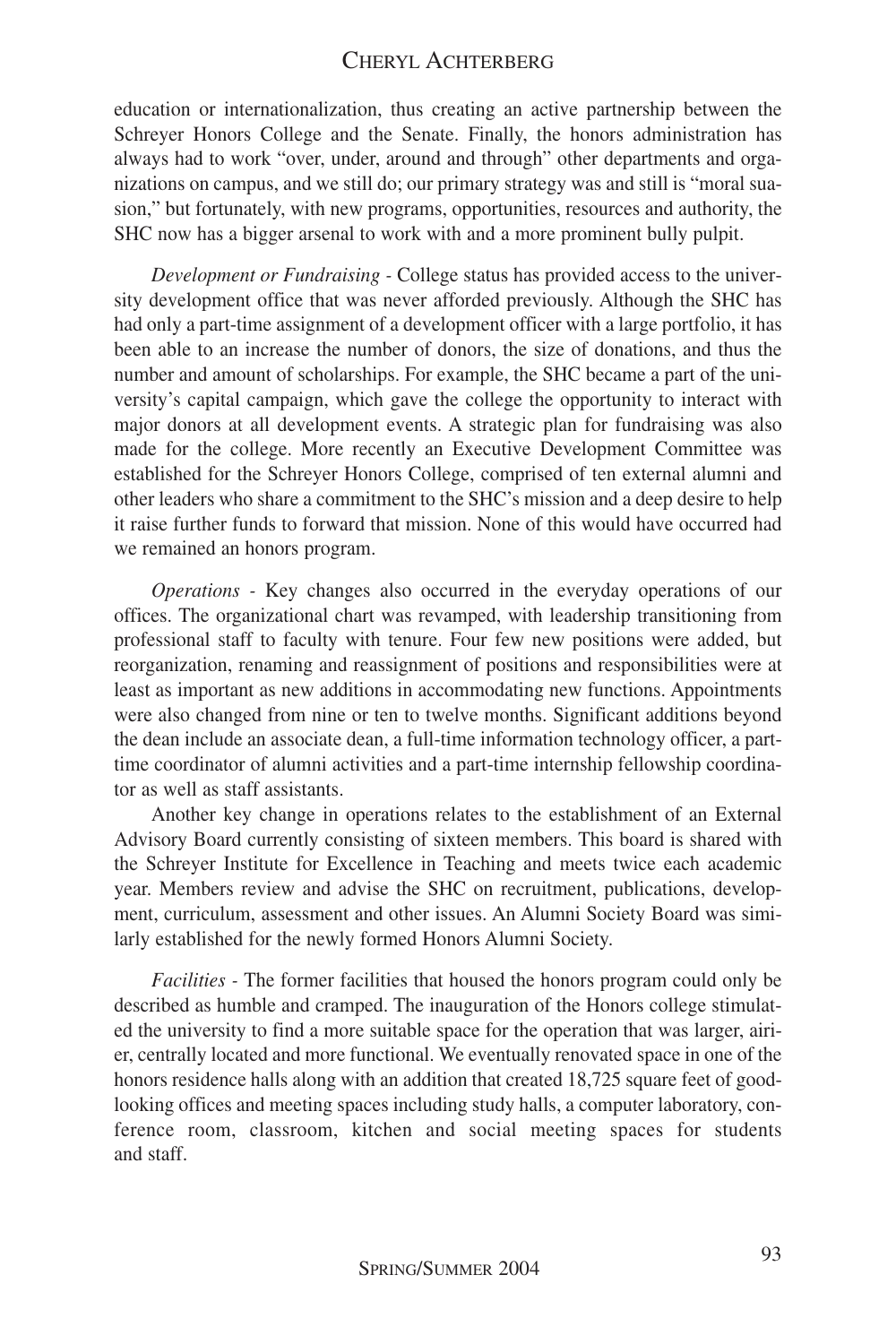#### CHERYL ACHTERBERG

education or internationalization, thus creating an active partnership between the Schreyer Honors College and the Senate. Finally, the honors administration has always had to work "over, under, around and through" other departments and organizations on campus, and we still do; our primary strategy was and still is "moral suasion," but fortunately, with new programs, opportunities, resources and authority, the SHC now has a bigger arsenal to work with and a more prominent bully pulpit.

*Development or Fundraising -* College status has provided access to the university development office that was never afforded previously. Although the SHC has had only a part-time assignment of a development officer with a large portfolio, it has been able to an increase the number of donors, the size of donations, and thus the number and amount of scholarships. For example, the SHC became a part of the university's capital campaign, which gave the college the opportunity to interact with major donors at all development events. A strategic plan for fundraising was also made for the college. More recently an Executive Development Committee was established for the Schreyer Honors College, comprised of ten external alumni and other leaders who share a commitment to the SHC's mission and a deep desire to help it raise further funds to forward that mission. None of this would have occurred had we remained an honors program.

*Operations -* Key changes also occurred in the everyday operations of our offices. The organizational chart was revamped, with leadership transitioning from professional staff to faculty with tenure. Four few new positions were added, but reorganization, renaming and reassignment of positions and responsibilities were at least as important as new additions in accommodating new functions. Appointments were also changed from nine or ten to twelve months. Significant additions beyond the dean include an associate dean, a full-time information technology officer, a parttime coordinator of alumni activities and a part-time internship fellowship coordinator as well as staff assistants.

Another key change in operations relates to the establishment of an External Advisory Board currently consisting of sixteen members. This board is shared with the Schreyer Institute for Excellence in Teaching and meets twice each academic year. Members review and advise the SHC on recruitment, publications, development, curriculum, assessment and other issues. An Alumni Society Board was similarly established for the newly formed Honors Alumni Society.

*Facilities -* The former facilities that housed the honors program could only be described as humble and cramped. The inauguration of the Honors college stimulated the university to find a more suitable space for the operation that was larger, airier, centrally located and more functional. We eventually renovated space in one of the honors residence halls along with an addition that created 18,725 square feet of goodlooking offices and meeting spaces including study halls, a computer laboratory, conference room, classroom, kitchen and social meeting spaces for students and staff.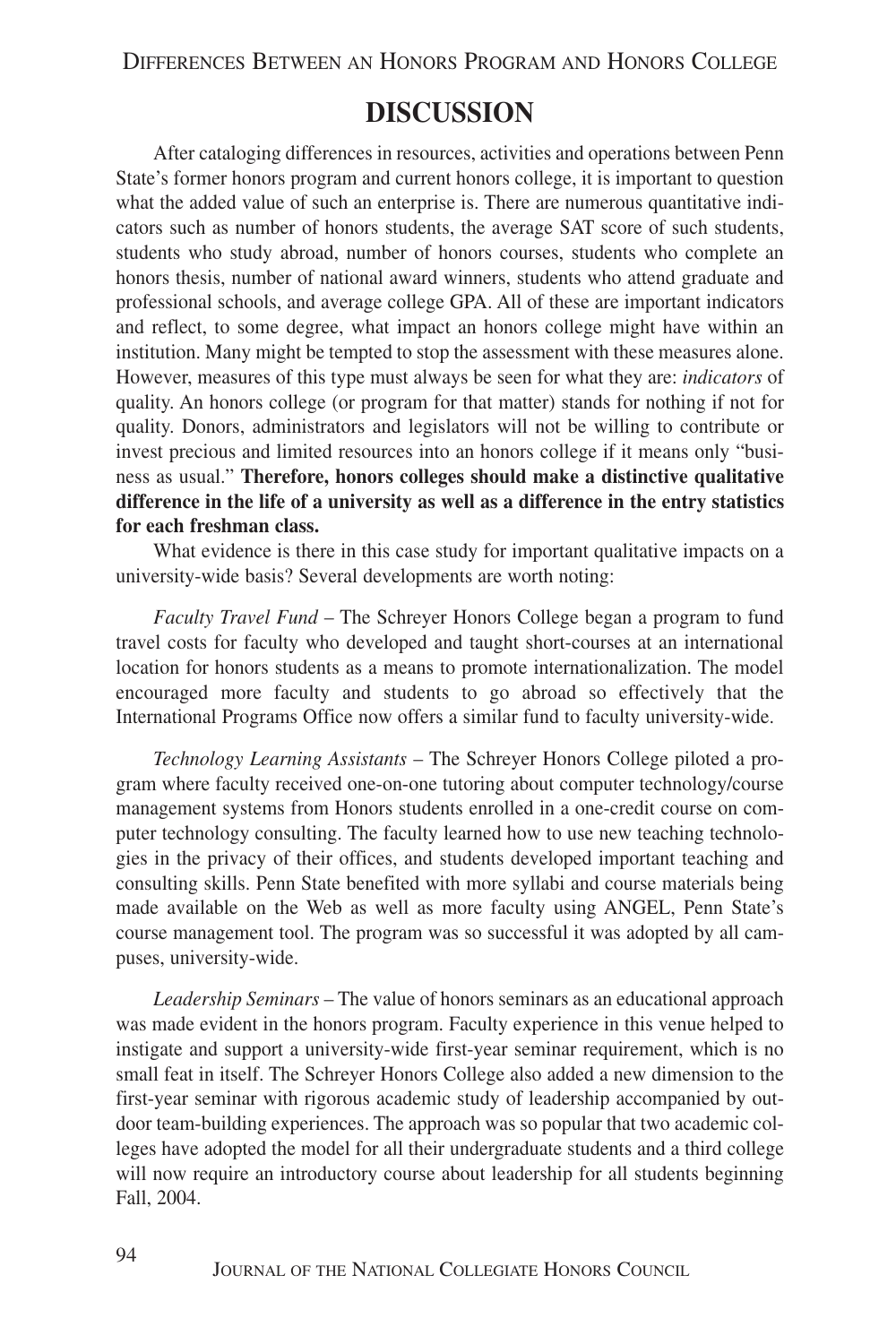## **DISCUSSION**

After cataloging differences in resources, activities and operations between Penn State's former honors program and current honors college, it is important to question what the added value of such an enterprise is. There are numerous quantitative indicators such as number of honors students, the average SAT score of such students, students who study abroad, number of honors courses, students who complete an honors thesis, number of national award winners, students who attend graduate and professional schools, and average college GPA. All of these are important indicators and reflect, to some degree, what impact an honors college might have within an institution. Many might be tempted to stop the assessment with these measures alone. However, measures of this type must always be seen for what they are: *indicators* of quality. An honors college (or program for that matter) stands for nothing if not for quality. Donors, administrators and legislators will not be willing to contribute or invest precious and limited resources into an honors college if it means only "business as usual." **Therefore, honors colleges should make a distinctive qualitative difference in the life of a university as well as a difference in the entry statistics for each freshman class.**

What evidence is there in this case study for important qualitative impacts on a university-wide basis? Several developments are worth noting:

*Faculty Travel Fund* – The Schreyer Honors College began a program to fund travel costs for faculty who developed and taught short-courses at an international location for honors students as a means to promote internationalization. The model encouraged more faculty and students to go abroad so effectively that the International Programs Office now offers a similar fund to faculty university-wide.

*Technology Learning Assistants* – The Schreyer Honors College piloted a program where faculty received one-on-one tutoring about computer technology/course management systems from Honors students enrolled in a one-credit course on computer technology consulting. The faculty learned how to use new teaching technologies in the privacy of their offices, and students developed important teaching and consulting skills. Penn State benefited with more syllabi and course materials being made available on the Web as well as more faculty using ANGEL, Penn State's course management tool. The program was so successful it was adopted by all campuses, university-wide.

*Leadership Seminars* – The value of honors seminars as an educational approach was made evident in the honors program. Faculty experience in this venue helped to instigate and support a university-wide first-year seminar requirement, which is no small feat in itself. The Schreyer Honors College also added a new dimension to the first-year seminar with rigorous academic study of leadership accompanied by outdoor team-building experiences. The approach was so popular that two academic colleges have adopted the model for all their undergraduate students and a third college will now require an introductory course about leadership for all students beginning Fall, 2004.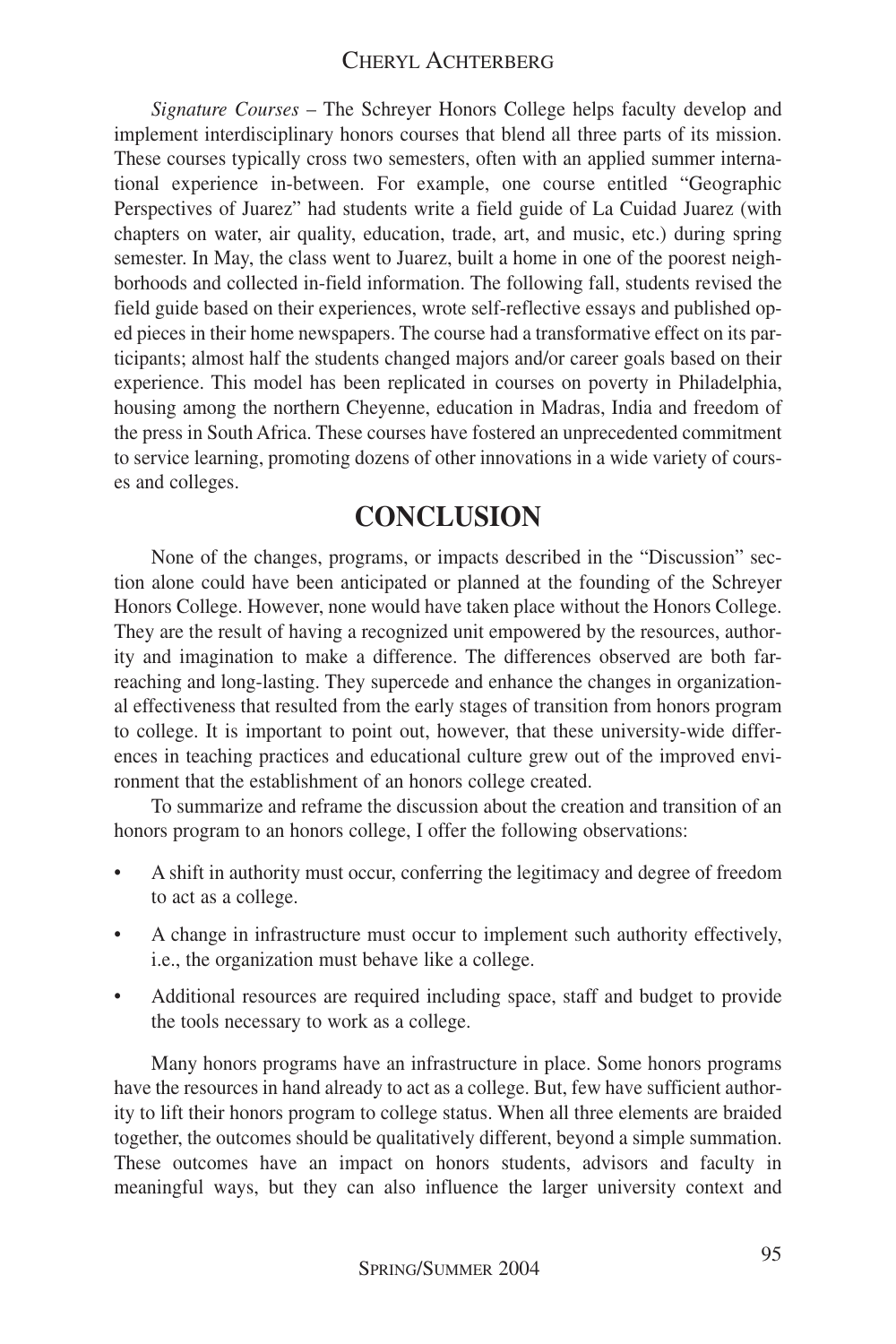*Signature Courses* – The Schreyer Honors College helps faculty develop and implement interdisciplinary honors courses that blend all three parts of its mission. These courses typically cross two semesters, often with an applied summer international experience in-between. For example, one course entitled "Geographic Perspectives of Juarez" had students write a field guide of La Cuidad Juarez (with chapters on water, air quality, education, trade, art, and music, etc.) during spring semester. In May, the class went to Juarez, built a home in one of the poorest neighborhoods and collected in-field information. The following fall, students revised the field guide based on their experiences, wrote self-reflective essays and published oped pieces in their home newspapers. The course had a transformative effect on its participants; almost half the students changed majors and/or career goals based on their experience. This model has been replicated in courses on poverty in Philadelphia, housing among the northern Cheyenne, education in Madras, India and freedom of the press in South Africa. These courses have fostered an unprecedented commitment to service learning, promoting dozens of other innovations in a wide variety of courses and colleges.

## **CONCLUSION**

None of the changes, programs, or impacts described in the "Discussion" section alone could have been anticipated or planned at the founding of the Schreyer Honors College. However, none would have taken place without the Honors College. They are the result of having a recognized unit empowered by the resources, authority and imagination to make a difference. The differences observed are both farreaching and long-lasting. They supercede and enhance the changes in organizational effectiveness that resulted from the early stages of transition from honors program to college. It is important to point out, however, that these university-wide differences in teaching practices and educational culture grew out of the improved environment that the establishment of an honors college created.

To summarize and reframe the discussion about the creation and transition of an honors program to an honors college, I offer the following observations:

- A shift in authority must occur, conferring the legitimacy and degree of freedom to act as a college.
- A change in infrastructure must occur to implement such authority effectively, i.e., the organization must behave like a college.
- Additional resources are required including space, staff and budget to provide the tools necessary to work as a college.

Many honors programs have an infrastructure in place. Some honors programs have the resources in hand already to act as a college. But, few have sufficient authority to lift their honors program to college status. When all three elements are braided together, the outcomes should be qualitatively different, beyond a simple summation. These outcomes have an impact on honors students, advisors and faculty in meaningful ways, but they can also influence the larger university context and